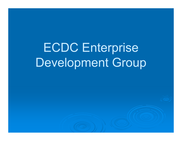ECDC Enterprise Development Group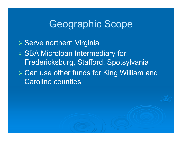## Geographic Scope

**≽ Serve northern Virginia**  SBA Microloan Intermediary for: Fredericksburg, Stafford, Spotsylvania Can use other funds for King William and Caroline counties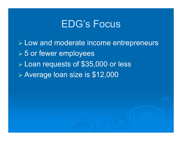### EDG's Focus

 Low and moderate income entrepreneurs **≽ 5 or fewer employees**  Loan requests of \$35,000 or less Average loan size is \$12,000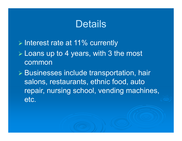## **Details**

 $\triangleright$  Interest rate at 11% currently  $\triangleright$  Loans up to 4 years, with 3 the most common Businesses include transportation, hair salons, restaurants, ethnic food, auto repair, nursing school, vending machines, etc.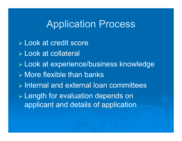#### Application Process

 Look at credit score Look at collateral Look at experience/business knowledge  $\triangleright$  More flexible than banks  $\triangleright$  Internal and external loan committees Length for evaluation depends on applicant and details of application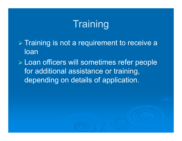# **Training**

 $\triangleright$  Training is not a requirement to receive a loan

 Loan officers will sometimes refer people for additional assistance or training, depending on details of application.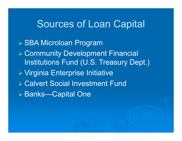#### Sources of Loan Capital

 SBA Microloan Program Community Development Financial Institutions Fund (U.S. Treasury Dept.) Virginia Enterprise Initiative Calvert Social Investment Fund Banks—Capital One